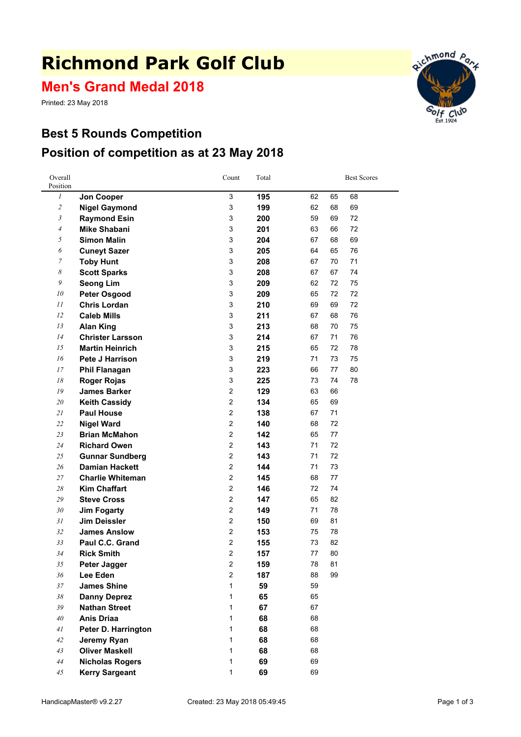# **Richmond Park Golf Club**

**Men's Grand Medal 2018**

Printed: 23 May 2018

### **Best 5 Rounds Competition Position of competition as at 23 May 2018**



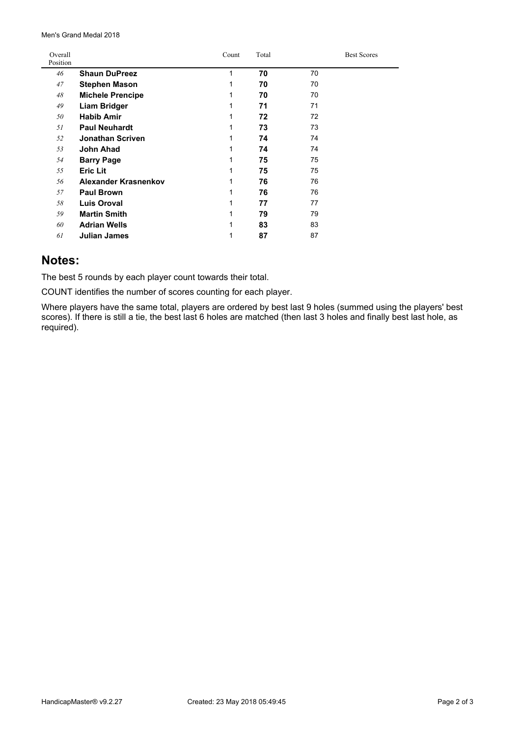Men's Grand Medal 2018

| Overall<br>Position |                         | Count | Total |    | <b>Best Scores</b> |
|---------------------|-------------------------|-------|-------|----|--------------------|
| 46                  | <b>Shaun DuPreez</b>    | 1     | 70    | 70 |                    |
| 47                  | <b>Stephen Mason</b>    | 1     | 70    | 70 |                    |
| 48                  | <b>Michele Prencipe</b> | 1     | 70    | 70 |                    |
| 49                  | <b>Liam Bridger</b>     | 1     | 71    | 71 |                    |
| 50                  | <b>Habib Amir</b>       | 1     | 72    | 72 |                    |
| 51                  | <b>Paul Neuhardt</b>    | 1     | 73    | 73 |                    |
| 52                  | <b>Jonathan Scriven</b> | 1     | 74    | 74 |                    |
| 53                  | John Ahad               | 1     | 74    | 74 |                    |
| 54                  | <b>Barry Page</b>       | 1     | 75    | 75 |                    |
| 55                  | <b>Eric Lit</b>         | 1     | 75    | 75 |                    |
| 56                  | Alexander Krasnenkov    | 1     | 76    | 76 |                    |
| 57                  | <b>Paul Brown</b>       | 1     | 76    | 76 |                    |
| 58                  | <b>Luis Oroval</b>      | 1     | 77    | 77 |                    |
| 59                  | <b>Martin Smith</b>     | 1     | 79    | 79 |                    |
| 60                  | <b>Adrian Wells</b>     | 1     | 83    | 83 |                    |
| 61                  | <b>Julian James</b>     | 1     | 87    | 87 |                    |

#### **Notes:**

The best 5 rounds by each player count towards their total.

COUNT identifies the number of scores counting for each player.

Where players have the same total, players are ordered by best last 9 holes (summed using the players' best scores). If there is still <sup>a</sup> tie, the best last 6 holes are matched (then last 3 holes and finally best last hole, as required).